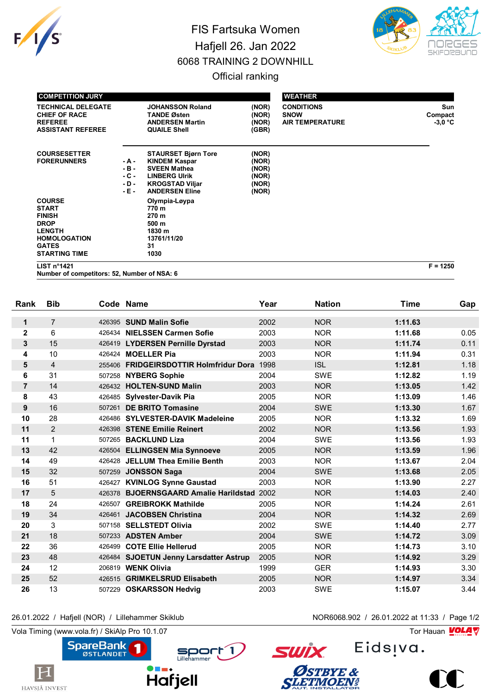

## FIS Fartsuka Women Hafjell 26. Jan 2022 6068 TRAINING 2 DOWNHILL



## Official ranking

| <b>COMPETITION JURY</b>                                                                                                                       |                                              |                                                                                                                                                      |                                                    | <b>WEATHER</b>                                             |                             |
|-----------------------------------------------------------------------------------------------------------------------------------------------|----------------------------------------------|------------------------------------------------------------------------------------------------------------------------------------------------------|----------------------------------------------------|------------------------------------------------------------|-----------------------------|
| <b>TECHNICAL DELEGATE</b><br><b>CHIEF OF RACE</b><br><b>REFEREE</b><br><b>ASSISTANT REFEREE</b>                                               |                                              | <b>JOHANSSON Roland</b><br><b>TANDE Østen</b><br><b>ANDERSEN Martin</b><br><b>QUAILE Shell</b>                                                       | (NOR)<br>(NOR)<br>(NOR)<br>(GBR)                   | <b>CONDITIONS</b><br><b>SNOW</b><br><b>AIR TEMPERATURE</b> | Sun<br>Compact<br>$-3,0$ °C |
| <b>COURSESETTER</b><br><b>FORERUNNERS</b>                                                                                                     | - A -<br>$-B -$<br>$-C -$<br>$-D -$<br>- E - | <b>STAURSET Bjørn Tore</b><br><b>KINDEM Kaspar</b><br><b>SVEEN Mathea</b><br><b>LINBERG Ulrik</b><br><b>KROGSTAD Viljar</b><br><b>ANDERSEN Eline</b> | (NOR)<br>(NOR)<br>(NOR)<br>(NOR)<br>(NOR)<br>(NOR) |                                                            |                             |
| <b>COURSE</b><br><b>START</b><br><b>FINISH</b><br><b>DROP</b><br><b>LENGTH</b><br><b>HOMOLOGATION</b><br><b>GATES</b><br><b>STARTING TIME</b> |                                              | Olympia-Løypa<br>770 m<br>270 m<br>500 m<br>1830 m<br>13761/11/20<br>31<br>1030                                                                      |                                                    |                                                            |                             |
| LIST n <sup>°</sup> 1421                                                                                                                      |                                              |                                                                                                                                                      |                                                    |                                                            | $F = 1250$                  |

**Number of competitors: 52, Number of NSA: 6**

| Rank           | <b>Bib</b>     | Code Name |                                            | Year | <b>Nation</b> | <b>Time</b> | Gap  |
|----------------|----------------|-----------|--------------------------------------------|------|---------------|-------------|------|
| $\mathbf 1$    | $\overline{7}$ |           | 426395 SUND Malin Sofie                    | 2002 | <b>NOR</b>    | 1:11.63     |      |
| $\mathbf{2}$   | 6              |           | 426434 NIELSSEN Carmen Sofie               | 2003 | <b>NOR</b>    | 1:11.68     | 0.05 |
| 3              | 15             |           | 426419 LYDERSEN Pernille Dyrstad           | 2003 | <b>NOR</b>    | 1:11.74     | 0.11 |
| 4              | 10             |           | 426424 MOELLER Pia                         | 2003 | <b>NOR</b>    | 1:11.94     | 0.31 |
| 5              | $\overline{4}$ | 255406    | <b>FRIDGEIRSDOTTIR Holmfridur Dora</b>     | 1998 | <b>ISL</b>    | 1:12.81     | 1.18 |
| 6              | 31             | 507258    | <b>NYBERG Sophie</b>                       | 2004 | <b>SWE</b>    | 1:12.82     | 1.19 |
| $\overline{7}$ | 14             |           | 426432 HOLTEN-SUND Malin                   | 2003 | <b>NOR</b>    | 1:13.05     | 1.42 |
| 8              | 43             |           | 426485 Sylvester-Davik Pia                 | 2005 | <b>NOR</b>    | 1:13.09     | 1.46 |
| 9              | 16             | 507261    | <b>DE BRITO Tomasine</b>                   | 2004 | <b>SWE</b>    | 1:13.30     | 1.67 |
| 10             | 28             |           | 426486 SYLVESTER-DAVIK Madeleine           | 2005 | <b>NOR</b>    | 1:13.32     | 1.69 |
| 11             | $\overline{c}$ |           | 426398 STENE Emilie Reinert                | 2002 | <b>NOR</b>    | 1:13.56     | 1.93 |
| 11             | 1              |           | 507265 BACKLUND Liza                       | 2004 | <b>SWE</b>    | 1:13.56     | 1.93 |
| 13             | 42             |           | 426504 ELLINGSEN Mia Synnoeve              | 2005 | <b>NOR</b>    | 1:13.59     | 1.96 |
| 14             | 49             |           | 426428 JELLUM Thea Emilie Benth            | 2003 | <b>NOR</b>    | 1:13.67     | 2.04 |
| 15             | 32             |           | 507259 JONSSON Saga                        | 2004 | <b>SWE</b>    | 1:13.68     | 2.05 |
| 16             | 51             |           | 426427 KVINLOG Synne Gaustad               | 2003 | <b>NOR</b>    | 1:13.90     | 2.27 |
| 17             | 5              |           | 426378 BJOERNSGAARD Amalie Harildstad 2002 |      | <b>NOR</b>    | 1:14.03     | 2.40 |
| 18             | 24             | 426507    | <b>GREIBROKK Mathilde</b>                  | 2005 | <b>NOR</b>    | 1:14.24     | 2.61 |
| 19             | 34             |           | 426461 JACOBSEN Christina                  | 2004 | <b>NOR</b>    | 1:14.32     | 2.69 |
| 20             | 3              |           | 507158 SELLSTEDT Olivia                    | 2002 | <b>SWE</b>    | 1:14.40     | 2.77 |
| 21             | 18             |           | 507233 ADSTEN Amber                        | 2004 | <b>SWE</b>    | 1:14.72     | 3.09 |
| 22             | 36             |           | 426499 COTE Ellie Hellerud                 | 2005 | <b>NOR</b>    | 1:14.73     | 3.10 |
| 23             | 48             |           | 426484 SJOETUN Jenny Larsdatter Astrup     | 2005 | <b>NOR</b>    | 1:14.92     | 3.29 |
| 24             | 12             |           | 206819 WENK Olivia                         | 1999 | <b>GER</b>    | 1:14.93     | 3.30 |
| 25             | 52             | 426515    | <b>GRIMKELSRUD Elisabeth</b>               | 2005 | <b>NOR</b>    | 1:14.97     | 3.34 |
| 26             | 13             | 507229    | <b>OSKARSSON Hedvig</b>                    | 2003 | <b>SWE</b>    | 1:15.07     | 3.44 |

## 26.01.2022 / Hafjell (NOR) / Lillehammer Skiklub NOR6068.902 / 26.01.2022 at 11:33 / Page 1/2

Vola Timing (www.vola.fr) / SkiAlp Pro 10.1.07 Tor Hauan Motor Science of Tor Hauan Motor Science of Tor Hauan

 $\mathbf H$ 

HAVSJÅ INVEST



Eids<sub>!va.</sub>



**SWİX**